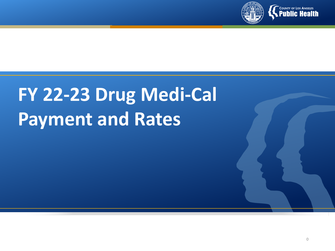

# **FY 22-23 Drug Medi-Cal Payment and Rates**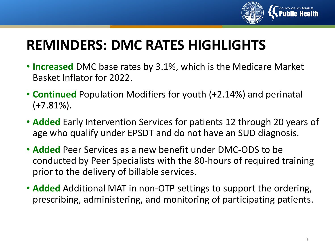

# **REMINDERS: DMC RATES HIGHLIGHTS**

- **Increased** DMC base rates by 3.1%, which is the Medicare Market Basket Inflator for 2022.
- **Continued** Population Modifiers for youth (+2.14%) and perinatal  $(+7.81\%).$
- **Added** Early Intervention Services for patients 12 through 20 years of age who qualify under EPSDT and do not have an SUD diagnosis.
- **Added** Peer Services as a new benefit under DMC-ODS to be conducted by Peer Specialists with the 80-hours of required training prior to the delivery of billable services.
- **Added** Additional MAT in non-OTP settings to support the ordering, prescribing, administering, and monitoring of participating patients.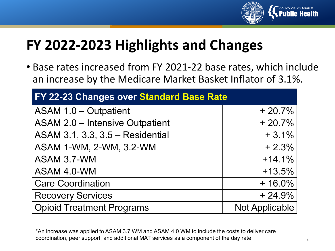

# **FY 2022-2023 Highlights and Changes**

• Base rates increased from FY 2021-22 base rates, which include an increase by the Medicare Market Basket Inflator of 3.1%.

| FY 22-23 Changes over Standard Base Rate |                |  |  |
|------------------------------------------|----------------|--|--|
| <b>ASAM 1.0 - Outpatient</b>             | $+20.7%$       |  |  |
| <b>ASAM 2.0 - Intensive Outpatient</b>   | $+20.7%$       |  |  |
| ASAM 3.1, 3.3, 3.5 - Residential         | $+3.1%$        |  |  |
| ASAM 1-WM, 2-WM, 3.2-WM                  | $+2.3%$        |  |  |
| ASAM 3.7-WM                              | $+14.1%$       |  |  |
| ASAM 4.0-WM                              | $+13.5%$       |  |  |
| <b>Care Coordination</b>                 | $+16.0\%$      |  |  |
| <b>Recovery Services</b>                 | $+24.9%$       |  |  |
| <b>Opioid Treatment Programs</b>         | Not Applicable |  |  |

\*An increase was applied to ASAM 3.7 WM and ASAM 4.0 WM to include the costs to deliver care coordination, peer support, and additional MAT services as a component of the day rate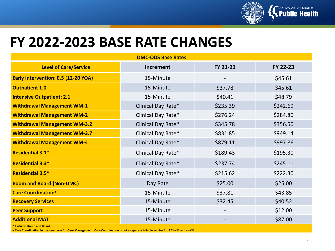

#### **FY 2022-2023 BASE RATE CHANGES**

| <b>DMC-ODS Base Rates</b>            |                    |          |          |  |
|--------------------------------------|--------------------|----------|----------|--|
| <b>Level of Care/Service</b>         | <b>Increment</b>   | FY 21-22 | FY 22-23 |  |
| Early Intervention: 0.5 (12-20 YOA)  | 15-Minute          |          | \$45.61  |  |
| <b>Outpatient 1.0</b>                | 15-Minute          | \$37.78  | \$45.61  |  |
| <b>Intensive Outpatient: 2.1</b>     | 15-Minute          | \$40.41  | \$48.79  |  |
| <b>Withdrawal Management WM-1</b>    | Clinical Day Rate* | \$235.39 | \$242.69 |  |
| <b>Withdrawal Management WM-2</b>    | Clinical Day Rate* | \$276.24 | \$284.80 |  |
| <b>Withdrawal Management WM-3.2</b>  | Clinical Day Rate* | \$345.78 | \$356.50 |  |
| <b>Withdrawal Management WM-3.7</b>  | Clinical Day Rate* | \$831.85 | \$949.14 |  |
| <b>Withdrawal Management WM-4</b>    | Clinical Day Rate* | \$879.11 | \$997.86 |  |
| <b>Residential 3.1*</b>              | Clinical Day Rate* | \$189.43 | \$195.30 |  |
| <b>Residential 3.3*</b>              | Clinical Day Rate* | \$237.74 | \$245.11 |  |
| <b>Residential 3.5*</b>              | Clinical Day Rate* | \$215.62 | \$222.30 |  |
| <b>Room and Board (Non-DMC)</b>      | Day Rate           | \$25.00  | \$25.00  |  |
| <b>Care Coordination<sup>+</sup></b> | 15-Minute          | \$37.81  | \$43.85  |  |
| <b>Recovery Services</b>             | 15-Minute          | \$32.45  | \$40.52  |  |
| <b>Peer Support</b>                  | 15-Minute          |          | \$12.00  |  |
| <b>Additional MAT</b>                | 15-Minute          |          | \$87.00  |  |

**\* Excludes Room and Board** 

**+ Care Coordination in the new term for Case Management. Care Coordination is not a separate billable service for 3.7-WM and 4-WM.**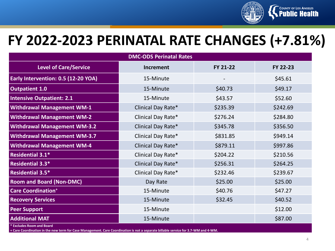

### **FY 2022-2023 PERINATAL RATE CHANGES (+7.81%)**

| <b>DMC-ODS Perinatal Rates</b>                     |                    |          |          |  |
|----------------------------------------------------|--------------------|----------|----------|--|
| <b>Level of Care/Service</b>                       | <b>Increment</b>   | FY 21-22 | FY 22-23 |  |
| Early Intervention: 0.5 (12-20 YOA)                | 15-Minute          |          | \$45.61  |  |
| <b>Outpatient 1.0</b>                              | 15-Minute          | \$40.73  | \$49.17  |  |
| <b>Intensive Outpatient: 2.1</b>                   | 15-Minute          | \$43.57  | \$52.60  |  |
| <b>Withdrawal Management WM-1</b>                  | Clinical Day Rate* | \$235.39 | \$242.69 |  |
| <b>Withdrawal Management WM-2</b>                  | Clinical Day Rate* | \$276.24 | \$284.80 |  |
| <b>Withdrawal Management WM-3.2</b>                | Clinical Day Rate* | \$345.78 | \$356.50 |  |
| <b>Withdrawal Management WM-3.7</b>                | Clinical Day Rate* | \$831.85 | \$949.14 |  |
| <b>Withdrawal Management WM-4</b>                  | Clinical Day Rate* | \$879.11 | \$997.86 |  |
| <b>Residential 3.1*</b>                            | Clinical Day Rate* | \$204.22 | \$210.56 |  |
| <b>Residential 3.3*</b>                            | Clinical Day Rate* | \$256.31 | \$264.25 |  |
| Residential 3.5*                                   | Clinical Day Rate* | \$232.46 | \$239.67 |  |
| <b>Room and Board (Non-DMC)</b>                    | Day Rate           | \$25.00  | \$25.00  |  |
| <b>Care Coordination<sup>+</sup></b>               | 15-Minute          | \$40.76  | \$47.27  |  |
| <b>Recovery Services</b>                           | 15-Minute          | \$32.45  | \$40.52  |  |
| <b>Peer Support</b>                                | 15-Minute          |          | \$12.00  |  |
| <b>Additional MAT</b><br>* Excludes Room and Board | 15-Minute          |          | \$87.00  |  |

**\* Excludes Room and Board** 

**+ Care Coordination in the new term for Case Management. Care Coordination is not a separate billable service for 3.7-WM and 4-WM.**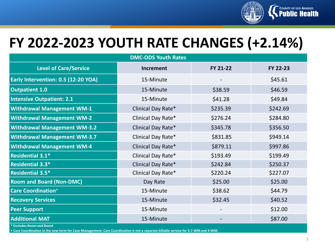

## **FY 2022-2023 YOUTH RATE CHANGES (+2.14%)**

| <b>DMC-ODS Youth Rates</b>           |                    |          |          |  |
|--------------------------------------|--------------------|----------|----------|--|
| <b>Level of Care/Service</b>         | <b>Increment</b>   | FY 21-22 | FY 22-23 |  |
| Early Intervention: 0.5 (12-20 YOA)  | 15-Minute          |          | \$45.61  |  |
| <b>Outpatient 1.0</b>                | 15-Minute          | \$38.59  | \$46.59  |  |
| <b>Intensive Outpatient: 2.1</b>     | 15-Minute          | \$41.28  | \$49.84  |  |
| <b>Withdrawal Management WM-1</b>    | Clinical Day Rate* | \$235.39 | \$242.69 |  |
| <b>Withdrawal Management WM-2</b>    | Clinical Day Rate* | \$276.24 | \$284.80 |  |
| <b>Withdrawal Management WM-3.2</b>  | Clinical Day Rate* | \$345.78 | \$356.50 |  |
| <b>Withdrawal Management WM-3.7</b>  | Clinical Day Rate* | \$831.85 | \$949.14 |  |
| <b>Withdrawal Management WM-4</b>    | Clinical Day Rate* | \$879.11 | \$997.86 |  |
| Residential 3.1*                     | Clinical Day Rate* | \$193.49 | \$199.49 |  |
| Residential 3.3*                     | Clinical Day Rate* | \$242.84 | \$250.37 |  |
| <b>Residential 3.5*</b>              | Clinical Day Rate* | \$220.24 | \$227.07 |  |
| <b>Room and Board (Non-DMC)</b>      | Day Rate           | \$25.00  | \$25.00  |  |
| <b>Care Coordination<sup>+</sup></b> | 15-Minute          | \$38.62  | \$44.79  |  |
| <b>Recovery Services</b>             | 15-Minute          | \$32.45  | \$40.52  |  |
| <b>Peer Support</b>                  | 15-Minute          |          | \$12.00  |  |
| <b>Additional MAT</b>                | 15-Minute          |          | \$87.00  |  |

**\* Excludes Room and Board** 

**+ Care Coordination in the new term for Case Management. Care Coordination is not a separate billable service for 3.7-WM and 4-WM.**